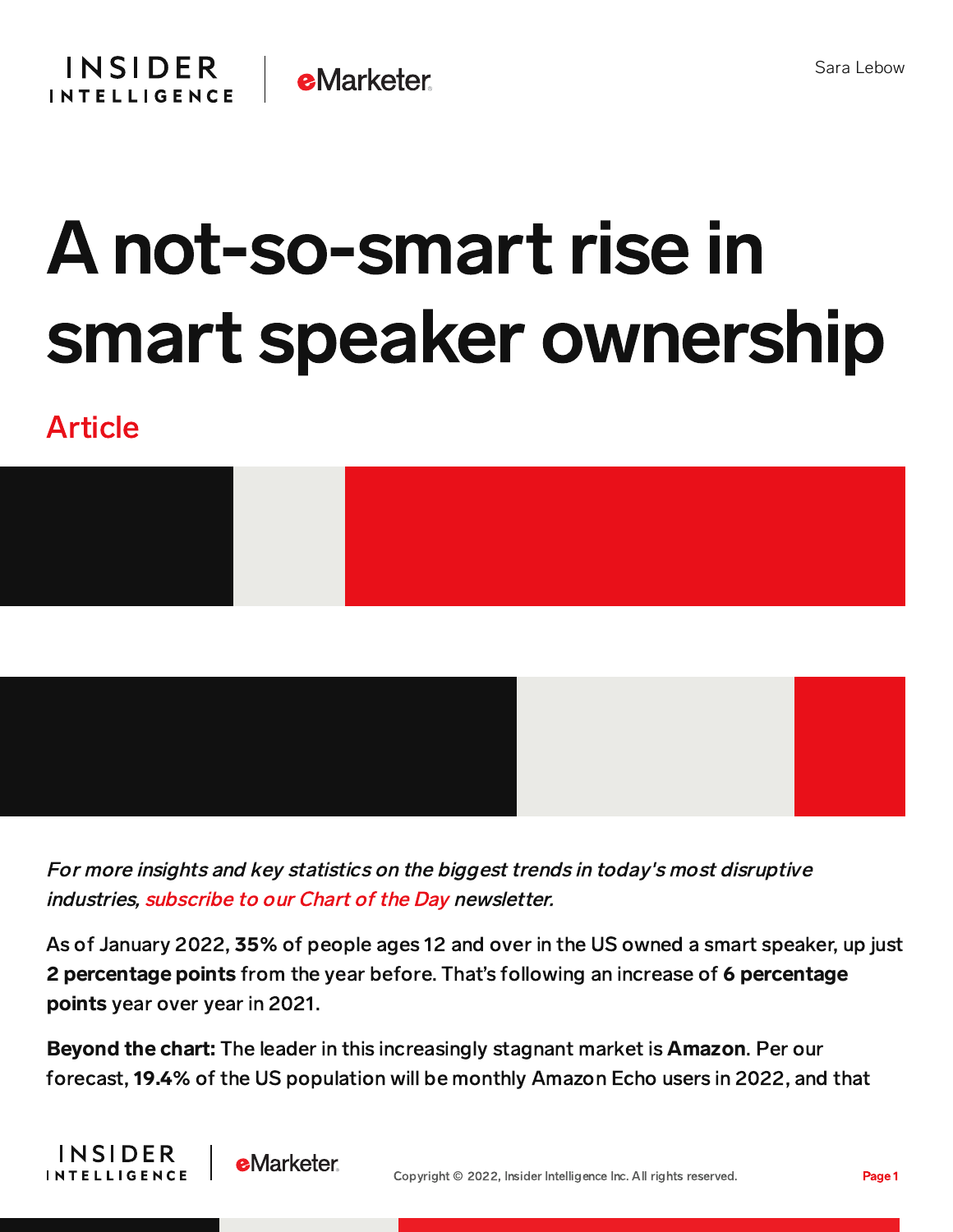

## A not-so-smart rise in smart speaker ownership

## Article

**INSIDER** 

**INTELLIGENCE** 

**e**Marketer



For more insights and key statistics on the biggest trends in today's most disruptive industries, [subscribe](https://www.businessinsider.com/intelligence/chart-of-the-day-newsletter?IR=T&itm_source=insiderintelligence&itm_medium=inline_cotd&itm_content=chart-of-the-day-newsletter) to our Chart of the Day newsletter.

As of January 2022, 35% of people ages 12 and over in the US owned a smart speaker, up just 2 percentage points from the year before. That's following an increase of 6 percentage points year over year in 2021.

Beyond the chart: The leader in this increasingly stagnant market is Amazon. Per our forecast, 19.4% of the US population will be monthly Amazon Echo users in 2022, and that